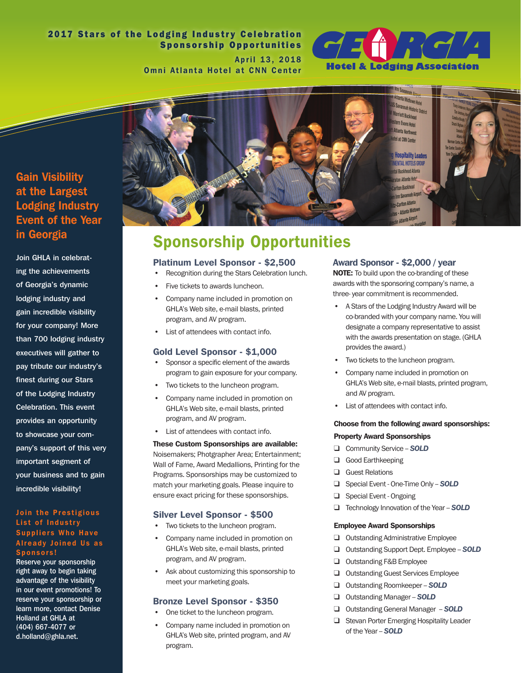# 2017 Stars of the Lodging Industry Celebration Sponsorship Opportunities April 13, 2018

Omni Atlanta Hotel at CNN Center



# Gain Visibility at the Largest Lodging Industry Event of the Year in Georgia

Join GHLA in celebrating the achievements of Georgia's dynamic lodging industry and gain incredible visibility for your company! More than 700 lodging industry executives will gather to pay tribute our industry's finest during our Stars of the Lodging Industry Celebration. This event provides an opportunity to showcase your company's support of this very important segment of your business and to gain incredible visibility!

#### Join the Prestigious List of Industry Suppliers Who Have Already Joined Us as Sponsors!

Reserve your sponsorship right away to begin taking advantage of the visibility in our event promotions! To reserve your sponsorship or learn more, contact Denise Holland at GHLA at (404) 667-4077 or d.holland@ghla.net.



# Sponsorship Opportunities

#### Platinum Level Sponsor - \$2,500

- Recognition during the Stars Celebration lunch.
- Five tickets to awards luncheon.
- Company name included in promotion on GHLA's Web site, e-mail blasts, printed program, and AV program.
- List of attendees with contact info.

## Gold Level Sponsor - \$1,000

- • Sponsor a specific element of the awards program to gain exposure for your company.
- Two tickets to the luncheon program.
- Company name included in promotion on GHLA's Web site, e-mail blasts, printed program, and AV program.
- List of attendees with contact info.

## These Custom Sponsorships are available: Noisemakers; Photgrapher Area; Entertainment; Wall of Fame, Award Medallions, Printing for the Programs. Sponsorships may be customized to match your marketing goals. Please inquire to ensure exact pricing for these sponsorships.

## Silver Level Sponsor - \$500

- Two tickets to the luncheon program.
- Company name included in promotion on GHLA's Web site, e-mail blasts, printed program, and AV program.
- Ask about customizing this sponsorship to meet your marketing goals.

## Bronze Level Sponsor - \$350

- One ticket to the luncheon program.
- Company name included in promotion on GHLA's Web site, printed program, and AV program.

## Award Sponsor - \$2,000 / year

NOTE: To build upon the co-branding of these awards with the sponsoring company's name, a three- year commitment is recommended.

- A Stars of the Lodging Industry Award will be co-branded with your company name. You will designate a company representative to assist with the awards presentation on stage. (GHLA provides the award.)
- Two tickets to the luncheon program.
- Company name included in promotion on GHLA's Web site, e-mail blasts, printed program, and AV program.
- List of attendees with contact info.

## Choose from the following award sponsorships: Property Award Sponsorships

- □ Community Service **SOLD**
- ❑ Good Earthkeeping
- ❑ Guest Relations
- □ Special Event One-Time Only **SOLD**
- ❑ Special Event Ongoing
- ❑ Technology Innovation of the Year -- *SOLD*

#### Employee Award Sponsorships

- ❑ Outstanding Administrative Employee
- ❑ Outstanding Support Dept. Employee -- *SOLD*
- ❑ Outstanding F&B Employee
- ❑ Outstanding Guest Services Employee
- ❑ Outstanding Roomkeeper -- *SOLD*
- ❑ Outstanding Manager -- *SOLD*
- ❑ Outstanding General Manager -- *SOLD*
- ❑ Stevan Porter Emerging Hospitality Leader of the Year -- *SOLD*